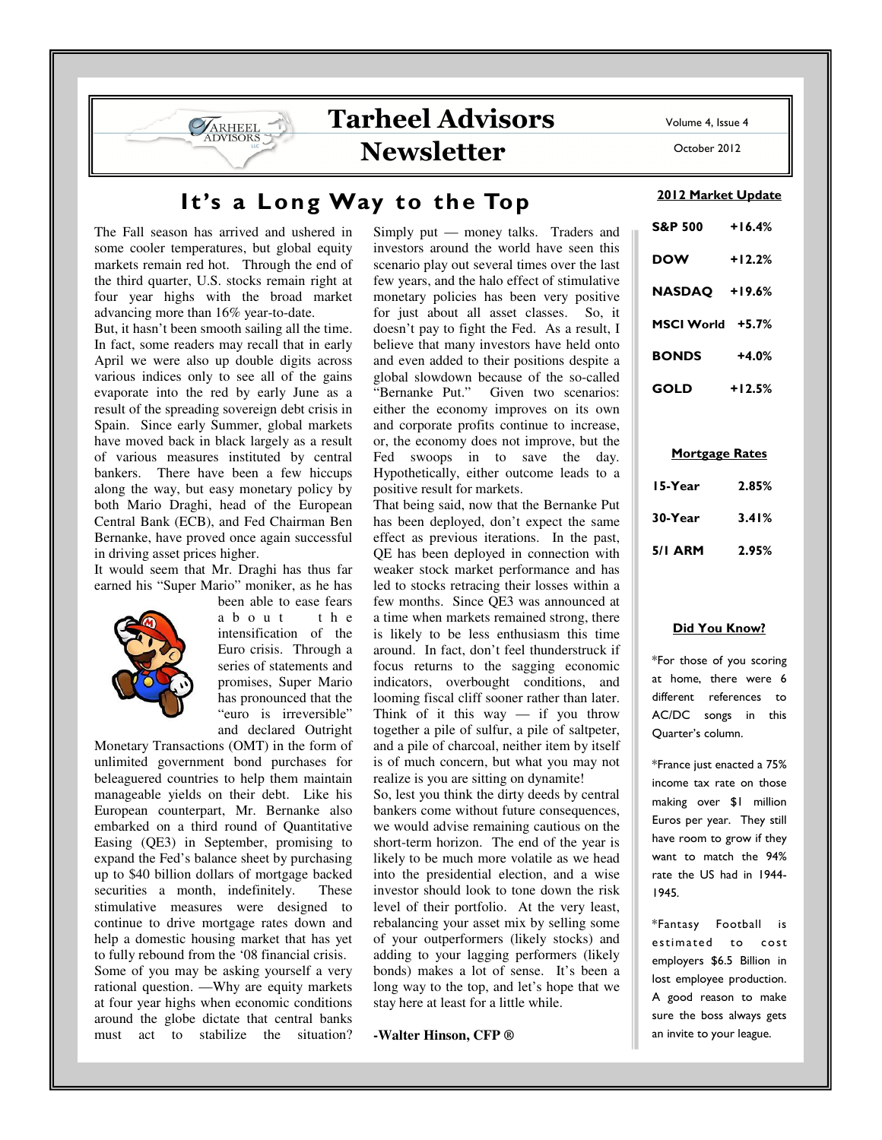# It's a Long Way to the Top

The Fall season has arrived and ushered in some cooler temperatures, but global equity markets remain red hot. Through the end of the third quarter, U.S. stocks remain right at four year highs with the broad market advancing more than 16% year-to-date.

**SARHEEL** 

But, it hasn't been smooth sailing all the time. In fact, some readers may recall that in early April we were also up double digits across various indices only to see all of the gains evaporate into the red by early June as a result of the spreading sovereign debt crisis in Spain. Since early Summer, global markets have moved back in black largely as a result of various measures instituted by central bankers. There have been a few hiccups along the way, but easy monetary policy by both Mario Draghi, head of the European Central Bank (ECB), and Fed Chairman Ben Bernanke, have proved once again successful in driving asset prices higher.

It would seem that Mr. Draghi has thus far earned his "Super Mario" moniker, as he has



been able to ease fears<br>a b o u t t h e  $a \ b \ o \ u \ t$ intensification of the Euro crisis. Through a series of statements and promises, Super Mario has pronounced that the "euro is irreversible" and declared Outright

Monetary Transactions (OMT) in the form of unlimited government bond purchases for beleaguered countries to help them maintain manageable yields on their debt. Like his European counterpart, Mr. Bernanke also embarked on a third round of Quantitative Easing (QE3) in September, promising to expand the Fed's balance sheet by purchasing up to \$40 billion dollars of mortgage backed securities a month, indefinitely. These stimulative measures were designed to continue to drive mortgage rates down and help a domestic housing market that has yet to fully rebound from the '08 financial crisis. Some of you may be asking yourself a very rational question. —Why are equity markets at four year highs when economic conditions around the globe dictate that central banks must act to stabilize the situation?

Simply put — money talks. Traders and investors around the world have seen this scenario play out several times over the last few years, and the halo effect of stimulative monetary policies has been very positive for just about all asset classes. So, it doesn't pay to fight the Fed. As a result, I believe that many investors have held onto and even added to their positions despite a global slowdown because of the so-called Given two scenarios: either the economy improves on its own and corporate profits continue to increase, or, the economy does not improve, but the Fed swoops in to save the day. Hypothetically, either outcome leads to a positive result for markets.

That being said, now that the Bernanke Put has been deployed, don't expect the same effect as previous iterations. In the past, QE has been deployed in connection with weaker stock market performance and has led to stocks retracing their losses within a few months. Since QE3 was announced at a time when markets remained strong, there is likely to be less enthusiasm this time around. In fact, don't feel thunderstruck if focus returns to the sagging economic indicators, overbought conditions, and looming fiscal cliff sooner rather than later. Think of it this way  $-$  if you throw together a pile of sulfur, a pile of saltpeter, and a pile of charcoal, neither item by itself is of much concern, but what you may not realize is you are sitting on dynamite!

So, lest you think the dirty deeds by central bankers come without future consequences, we would advise remaining cautious on the short-term horizon. The end of the year is likely to be much more volatile as we head into the presidential election, and a wise investor should look to tone down the risk level of their portfolio. At the very least, rebalancing your asset mix by selling some of your outperformers (likely stocks) and adding to your lagging performers (likely bonds) makes a lot of sense. It's been a long way to the top, and let's hope that we stay here at least for a little while.

# **-Walter Hinson, CFP ®**

Volume 4, Issue 4

October 2012

#### 2012 Market Update

| <b>S&amp;P 500</b>   | $+16.4%$ |
|----------------------|----------|
| <b>DOW</b>           | $+12.2%$ |
| <b>NASDAQ +19.6%</b> |          |
| MSCI World +5.7%     |          |
| <b>BONDS</b>         | $+4.0%$  |
| GOLD                 | $+12.5%$ |

#### Mortgage Rates

| 15-Year | 2.85% |  |
|---------|-------|--|
| 30-Year | 3.41% |  |
| 5/1 ARM | 2.95% |  |

# Did You Know?

\*For those of you scoring at home, there were 6 different references to AC/DC songs in this Quarter's column.

\*France just enacted a 75% income tax rate on those making over \$1 million Euros per year. They still have room to grow if they want to match the 94% rate the US had in 1944- 1945.

\*Fantasy Football is estimated to cost employers \$6.5 Billion in lost employee production. A good reason to make sure the boss always gets an invite to your league.